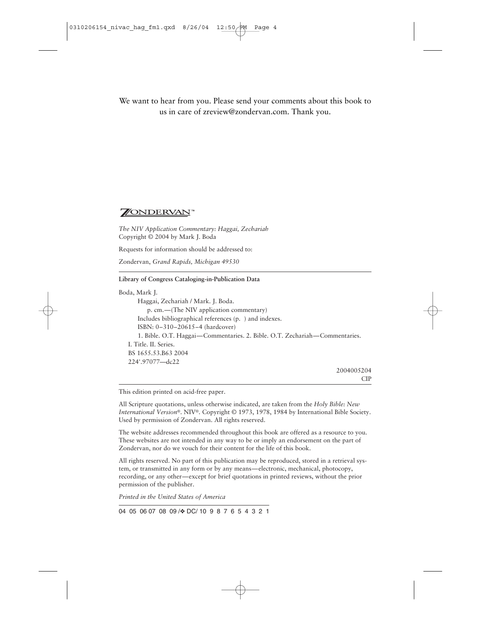We want to hear from you. Please send your comments about this book to us in care of zreview@zondervan.com. Thank you.

#### **ZONDERVAN**

*The NIV Application Commentary: Haggai, Zechariah* Copyright © 2004 by Mark J. Boda

Requests for information should be addressed to:

Zondervan, *Grand Rapids, Michigan 49530*

#### **Library of Congress Cataloging-in-Publication Data**

Boda, Mark J. Haggai, Zechariah / Mark. J. Boda. p. cm.—(The NIV application commentary) Includes bibliographical references (p. ) and indexes. ISBN: 0–310–20615–4 (hardcover) 1. Bible. O.T. Haggai—Commentaries. 2. Bible. O.T. Zechariah—Commentaries. I. Title. II. Series. BS 1655.53.B63 2004 224'.97077—dc22 2004005204

This edition printed on acid-free paper.

All Scripture quotations, unless otherwise indicated, are taken from the *Holy Bible: New International Version*®. NIV®. Copyright © 1973, 1978, 1984 by International Bible Society. Used by permission of Zondervan. All rights reserved.

CIP

The website addresses recommended throughout this book are offered as a resource to you. These websites are not intended in any way to be or imply an endorsement on the part of Zondervan, nor do we vouch for their content for the life of this book.

All rights reserved. No part of this publication may be reproduced, stored in a retrieval system, or transmitted in any form or by any means—electronic, mechanical, photocopy, recording, or any other—except for brief quotations in printed reviews, without the prior permission of the publisher.

*Printed in the United States of America*

04 05 06 07 08 09 /❖ DC/ 10 9 8 7 6 5 4 3 2 1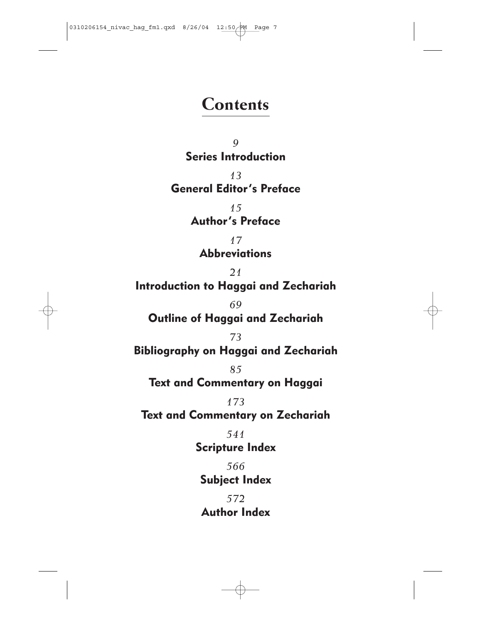## **Contents**

*9* Series Introduction

*13* General Editor's Preface

> *15* Author's Preface

### *17*

**Abbreviations** 

#### *21*

Introduction to Haggai and Zechariah

*69* Outline of Haggai and Zechariah

#### *73*

Bibliography on Haggai and Zechariah

*85*

Text and Commentary on Haggai

#### *173*

Text and Commentary on Zechariah

#### *541*

#### Scripture Index

#### *566* Subject Index

*572* Author Index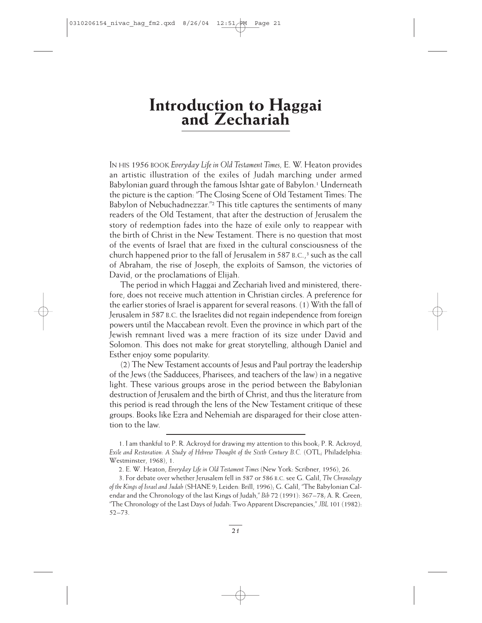# **Introduction to Haggai and Zechariah**

IN HIS 1956 BOOK *Everyday Life in Old Testament Times,* E. W. Heaton provides an artistic illustration of the exiles of Judah marching under armed Babylonian guard through the famous Ishtar gate of Babylon.<sup>1</sup> Underneath the picture is the caption: "The Closing Scene of Old Testament Times: The Babylon of Nebuchadnezzar.<sup>"2</sup> This title captures the sentiments of many readers of the Old Testament, that after the destruction of Jerusalem the story of redemption fades into the haze of exile only to reappear with the birth of Christ in the New Testament. There is no question that most of the events of Israel that are fixed in the cultural consciousness of the church happened prior to the fall of Jerusalem in 587 B.C.,<sup>3</sup> such as the call of Abraham, the rise of Joseph, the exploits of Samson, the victories of David, or the proclamations of Elijah.

The period in which Haggai and Zechariah lived and ministered, therefore, does not receive much attention in Christian circles. A preference for the earlier stories of Israel is apparent for several reasons. (1) With the fall of Jerusalem in 587 B.C. the Israelites did not regain independence from foreign powers until the Maccabean revolt. Even the province in which part of the Jewish remnant lived was a mere fraction of its size under David and Solomon. This does not make for great storytelling, although Daniel and Esther enjoy some popularity.

(2) The New Testament accounts of Jesus and Paul portray the leadership of the Jews (the Sadducees, Pharisees, and teachers of the law) in a negative light. These various groups arose in the period between the Babylonian destruction of Jerusalem and the birth of Christ, and thus the literature from this period is read through the lens of the New Testament critique of these groups. Books like Ezra and Nehemiah are disparaged for their close attention to the law.

<sup>1.</sup> I am thankful to P. R. Ackroyd for drawing my attention to this book; P. R. Ackroyd, *Exile and Restoration: A Study of Hebrew Thought of the Sixth Century B.C.* (OTL; Philadelphia: Westminster, 1968), 1.

<sup>2.</sup> E. W. Heaton, *Everyday Life in Old Testament Times* (New York: Scribner, 1956), 26.

<sup>3.</sup> For debate over whether Jerusalem fell in 587 or 586 B.C. see G. Galil, *The Chronology of the Kingsof Israel and Judah* (SHANE 9; Leiden: Brill, 1996); G. Galil, "The Babylonian Calendar and the Chronology of the last Kings of Judah," *Bib* 72 (1991): 367–78; A. R. Green, "The Chronology of the Last Days of Judah: Two Apparent Discrepancies," *JBL* 101 (1982): 52–73.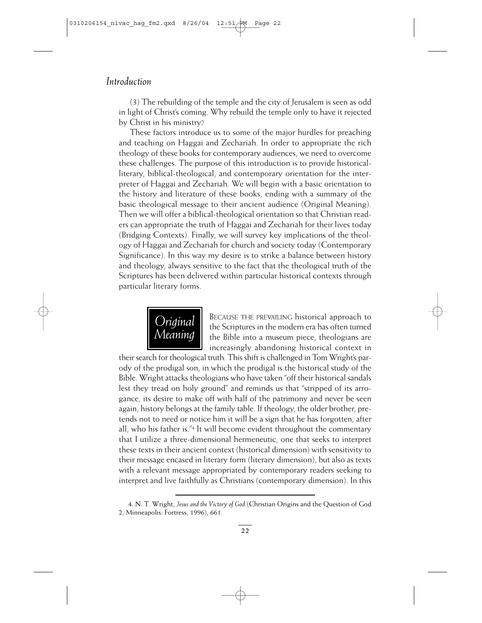#### *Introduction*

(3) The rebuilding of the temple and the city of Jerusalem is seen as odd in light of Christ's coming. Why rebuild the temple only to have it rejected by Christ in his ministry?

These factors introduce us to some of the major hurdles for preaching and teaching on Haggai and Zechariah. In order to appropriate the rich theology of these books for contemporary audiences, we need to overcome these challenges. The purpose of this introduction is to provide historicalliterary, biblical-theological, and contemporary orientation for the interpreter of Haggai and Zechariah. We will begin with a basic orientation to the history and literature of these books, ending with a summary of the basic theological message to their ancient audience (Original Meaning). Then we will offer a biblical-theological orientation so that Christian readers can appropriate the truth of Haggai and Zechariah for their lives today (Bridging Contexts). Finally, we will survey key implications of the theology of Haggai and Zechariah for church and society today (Contemporary Significance). In this way my desire is to strike a balance between history and theology, always sensitive to the fact that the theological truth of the Scriptures has been delivered within particular historical contexts through particular literary forms.



BECAUSE THE PREVAILING historical approach to the Scriptures in the modern era has often turned the Bible into a museum piece, theologians are increasingly abandoning historical context in

their search for theological truth. This shift is challenged in Tom Wright's parody of the prodigal son, in which the prodigal is the historical study of the Bible. Wright attacks theologians who have taken "off their historical sandals lest they tread on holy ground" and reminds us that "stripped of its arrogance, its desire to make off with half of the patrimony and never be seen again, history belongs at the family table. If theology, the older brother, pretends not to need or notice him it will be a sign that he has forgotten, after all, who his father is."4 It will become evident throughout the commentary that I utilize a three-dimensional hermeneutic, one that seeks to interpret these texts in their ancient context (historical dimension) with sensitivity to their message encased in literary form (literary dimension), but also as texts with a relevant message appropriated by contemporary readers seeking to interpret and live faithfully as Christians (contemporary dimension). In this

<sup>4.</sup> N. T. Wright, *Jesus and the Victory of God* (Christian Origins and the Question of God 2; Minneapolis: Fortress, 1996), 661.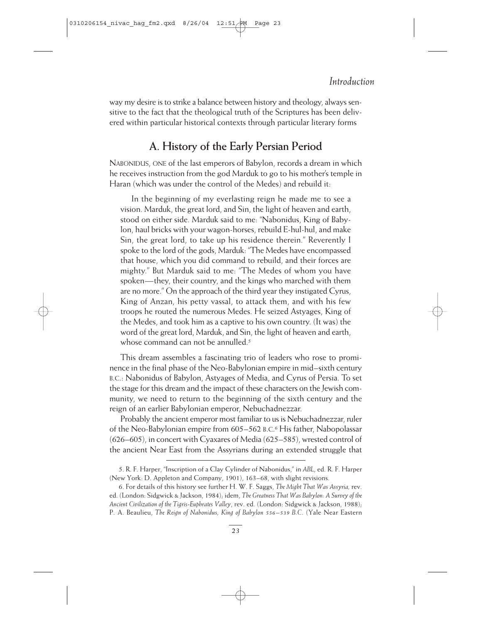way my desire is to strike a balance between history and theology, always sensitive to the fact that the theological truth of the Scriptures has been delivered within particular historical contexts through particular literary forms

#### **A. History of the Early Persian Period**

NABONIDUS, ONE of the last emperors of Babylon, records a dream in which he receives instruction from the god Marduk to go to his mother's temple in Haran (which was under the control of the Medes) and rebuild it:

In the beginning of my everlasting reign he made me to see a vision. Marduk, the great lord, and Sin, the light of heaven and earth, stood on either side. Marduk said to me: "Nabonidus, King of Babylon, haul bricks with your wagon-horses, rebuild E-hul-hul, and make Sin, the great lord, to take up his residence therein." Reverently I spoke to the lord of the gods, Marduk: "The Medes have encompassed that house, which you did command to rebuild, and their forces are mighty." But Marduk said to me: "The Medes of whom you have spoken—they, their country, and the kings who marched with them are no more." On the approach of the third year they instigated Cyrus, King of Anzan, his petty vassal, to attack them, and with his few troops he routed the numerous Medes. He seized Astyages, King of the Medes, and took him as a captive to his own country. (It was) the word of the great lord, Marduk, and Sin, the light of heaven and earth, whose command can not be annulled.<sup>5</sup>

This dream assembles a fascinating trio of leaders who rose to prominence in the final phase of the Neo-Babylonian empire in mid–sixth century B.C.: Nabonidus of Babylon, Astyages of Media, and Cyrus of Persia. To set the stage for this dream and the impact of these characters on the Jewish community, we need to return to the beginning of the sixth century and the reign of an earlier Babylonian emperor, Nebuchadnezzar.

Probably the ancient emperor most familiar to us is Nebuchadnezzar, ruler of the Neo-Babylonian empire from 605–562 B.C. <sup>6</sup> His father, Nabopolassar (626–605), in concert with Cyaxares of Media (625–585), wrested control of the ancient Near East from the Assyrians during an extended struggle that

<sup>5.</sup> R. F. Harper, "Inscription of a Clay Cylinder of Nabonidus," in *ABL*, ed. R. F. Harper (New York: D. Appleton and Company, 1901), 163–68, with slight revisions.

<sup>6.</sup> For details of this history see further H. W. F. Saggs, *The Might That Was Assyria,* rev. ed. (London: Sidgwick & Jackson, 1984); idem, *The Greatness That Was Babylon: A Survey of the Ancient Civilization of the Tigris-Euphrates Valley*, rev. ed. (London: Sidgwick & Jackson, 1988); P. A. Beaulieu, *The Reign of Nabonidus, King of Babylon 556–539 B.C*. (Yale Near Eastern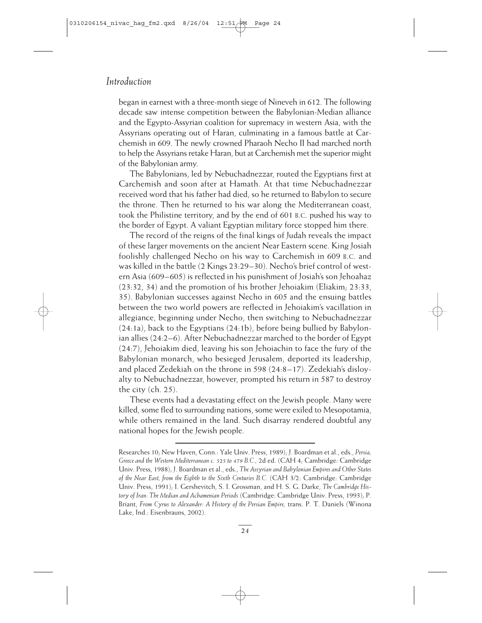#### *Introduction*

began in earnest with a three-month siege of Nineveh in 612. The following decade saw intense competition between the Babylonian-Median alliance and the Egypto-Assyrian coalition for supremacy in western Asia, with the Assyrians operating out of Haran, culminating in a famous battle at Carchemish in 609. The newly crowned Pharaoh Necho II had marched north to help the Assyrians retake Haran, but at Carchemish met the superior might of the Babylonian army.

The Babylonians, led by Nebuchadnezzar, routed the Egyptians first at Carchemish and soon after at Hamath. At that time Nebuchadnezzar received word that his father had died, so he returned to Babylon to secure the throne. Then he returned to his war along the Mediterranean coast, took the Philistine territory, and by the end of 601 B.C. pushed his way to the border of Egypt. A valiant Egyptian military force stopped him there.

The record of the reigns of the final kings of Judah reveals the impact of these larger movements on the ancient Near Eastern scene. King Josiah foolishly challenged Necho on his way to Carchemish in 609 B.C. and was killed in the battle (2 Kings 23:29–30). Necho's brief control of western Asia (609–605) is reflected in his punishment of Josiah's son Jehoahaz (23:32, 34) and the promotion of his brother Jehoiakim (Eliakim; 23:33, 35). Babylonian successes against Necho in 605 and the ensuing battles between the two world powers are reflected in Jehoiakim's vacillation in allegiance, beginning under Necho, then switching to Nebuchadnezzar (24:1a), back to the Egyptians (24:1b), before being bullied by Babylonian allies (24:2–6). After Nebuchadnezzar marched to the border of Egypt (24:7), Jehoiakim died, leaving his son Jehoiachin to face the fury of the Babylonian monarch, who besieged Jerusalem, deported its leadership, and placed Zedekiah on the throne in 598 (24:8–17). Zedekiah's disloyalty to Nebuchadnezzar, however, prompted his return in 587 to destroy the city (ch. 25).

These events had a devastating effect on the Jewish people. Many were killed, some fled to surrounding nations, some were exiled to Mesopotamia, while others remained in the land. Such disarray rendered doubtful any national hopes for the Jewish people.

Researches 10; New Haven, Conn.: Yale Univ. Press, 1989); J. Boardman et al., eds., *Persia, Greece and the Western Mediterranean c. 525 to 479 B.C.,* 2d ed. (CAH 4; Cambridge: Cambridge Univ. Press, 1988); J. Boardman et al., eds., *The Assyrian and Babylonian Empires and Other States of the Near East, from the Eighth to the Sixth Centuries B.C.* (CAH 3/2: Cambridge: Cambridge Univ. Press, 1991); I. Gershevitch, S. I. Grossman, and H. S. G. Darke, *The Cambridge History of Iran: The Median and Achamenian Periods* (Cambridge: Cambridge Univ. Press, 1993); P. Briant, *From Cyrus to Alexander: A History of the Persian Empire,* trans. P. T. Daniels (Winona Lake, Ind.: Eisenbrauns, 2002).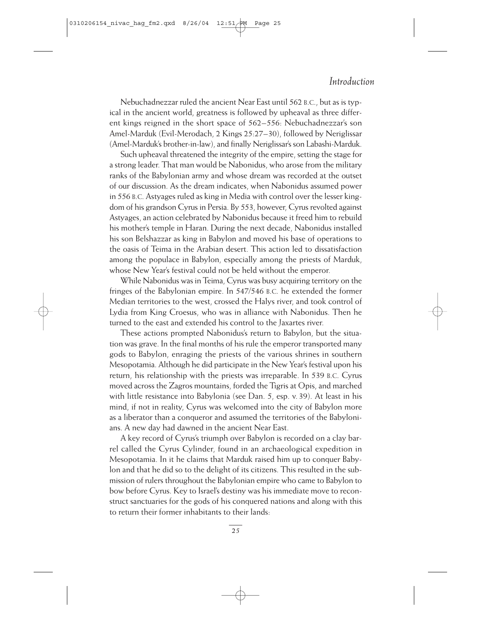Nebuchadnezzar ruled the ancient Near East until 562 B.C., but as is typical in the ancient world, greatness is followed by upheaval as three different kings reigned in the short space of 562–556: Nebuchadnezzar's son Amel-Marduk (Evil-Merodach, 2 Kings 25:27–30), followed by Neriglissar (Amel-Marduk's brother-in-law), and finally Neriglissar's son Labashi-Marduk.

Such upheaval threatened the integrity of the empire, setting the stage for a strong leader. That man would be Nabonidus, who arose from the military ranks of the Babylonian army and whose dream was recorded at the outset of our discussion. As the dream indicates, when Nabonidus assumed power in 556 B.C. Astyages ruled as king in Media with control over the lesser kingdom of his grandson Cyrus in Persia. By 553, however, Cyrus revolted against Astyages, an action celebrated by Nabonidus because it freed him to rebuild his mother's temple in Haran. During the next decade, Nabonidus installed his son Belshazzar as king in Babylon and moved his base of operations to the oasis of Teima in the Arabian desert. This action led to dissatisfaction among the populace in Babylon, especially among the priests of Marduk, whose New Year's festival could not be held without the emperor.

While Nabonidus was in Teima, Cyrus was busy acquiring territory on the fringes of the Babylonian empire. In 547/546 B.C. he extended the former Median territories to the west, crossed the Halys river, and took control of Lydia from King Croesus, who was in alliance with Nabonidus. Then he turned to the east and extended his control to the Jaxartes river.

These actions prompted Nabonidus's return to Babylon, but the situation was grave. In the final months of his rule the emperor transported many gods to Babylon, enraging the priests of the various shrines in southern Mesopotamia. Although he did participate in the New Year's festival upon his return, his relationship with the priests was irreparable. In 539 B.C. Cyrus moved across the Zagros mountains, forded the Tigris at Opis, and marched with little resistance into Babylonia (see Dan. 5, esp. v. 39). At least in his mind, if not in reality, Cyrus was welcomed into the city of Babylon more as a liberator than a conqueror and assumed the territories of the Babylonians. A new day had dawned in the ancient Near East.

A key record of Cyrus's triumph over Babylon is recorded on a clay barrel called the Cyrus Cylinder, found in an archaeological expedition in Mesopotamia. In it he claims that Marduk raised him up to conquer Babylon and that he did so to the delight of its citizens. This resulted in the submission of rulers throughout the Babylonian empire who came to Babylon to bow before Cyrus. Key to Israel's destiny was his immediate move to reconstruct sanctuaries for the gods of his conquered nations and along with this to return their former inhabitants to their lands: